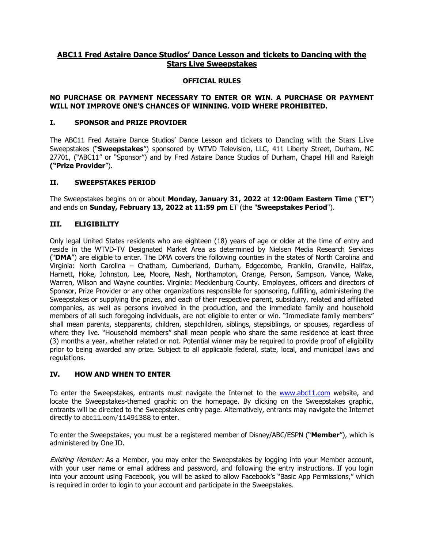# **ABC11 Fred Astaire Dance Studios' Dance Lesson and tickets to Dancing with the Stars Live Sweepstakes**

#### **OFFICIAL RULES**

## **NO PURCHASE OR PAYMENT NECESSARY TO ENTER OR WIN. A PURCHASE OR PAYMENT WILL NOT IMPROVE ONE'S CHANCES OF WINNING. VOID WHERE PROHIBITED.**

### **I. SPONSOR and PRIZE PROVIDER**

The ABC11 Fred Astaire Dance Studios' Dance Lesson and tickets to Dancing with the Stars Live Sweepstakes ("**Sweepstakes**") sponsored by WTVD Television, LLC, 411 Liberty Street, Durham, NC 27701, ("ABC11" or "Sponsor") and by Fred Astaire Dance Studios of Durham, Chapel Hill and Raleigh **("Prize Provider**").

#### **II. SWEEPSTAKES PERIOD**

The Sweepstakes begins on or about **Monday, January 31, 2022** at **12:00am Eastern Time** ("**ET**") and ends on **Sunday, February 13, 2022 at 11:59 pm** ET (the "**Sweepstakes Period**").

## **III. ELIGIBILITY**

Only legal United States residents who are eighteen (18) years of age or older at the time of entry and reside in the WTVD-TV Designated Market Area as determined by Nielsen Media Research Services ("**DMA**") are eligible to enter. The DMA covers the following counties in the states of North Carolina and Virginia: North Carolina – Chatham, Cumberland, Durham, Edgecombe, Franklin, Granville, Halifax, Harnett, Hoke, Johnston, Lee, Moore, Nash, Northampton, Orange, Person, Sampson, Vance, Wake, Warren, Wilson and Wayne counties. Virginia: Mecklenburg County. Employees, officers and directors of Sponsor, Prize Provider or any other organizations responsible for sponsoring, fulfilling, administering the Sweepstakes or supplying the prizes, and each of their respective parent, subsidiary, related and affiliated companies, as well as persons involved in the production, and the immediate family and household members of all such foregoing individuals, are not eligible to enter or win. "Immediate family members" shall mean parents, stepparents, children, stepchildren, siblings, stepsiblings, or spouses, regardless of where they live. "Household members" shall mean people who share the same residence at least three (3) months a year, whether related or not. Potential winner may be required to provide proof of eligibility prior to being awarded any prize. Subject to all applicable federal, state, local, and municipal laws and regulations.

#### **IV. HOW AND WHEN TO ENTER**

To enter the Sweepstakes, entrants must navigate the Internet to the [www.abc11.com](http://www.abc11.com/) website, and locate the Sweepstakes-themed graphic on the homepage. By clicking on the Sweepstakes graphic, entrants will be directed to the Sweepstakes entry page. Alternatively, entrants may navigate the Internet directly to abc11.com/11491388 to enter.

To enter the Sweepstakes, you must be a registered member of Disney/ABC/ESPN ("**Member**"), which is administered by One ID.

**Existing Member:** As a Member, you may enter the Sweepstakes by logging into your Member account, with your user name or email address and password, and following the entry instructions. If you login into your account using Facebook, you will be asked to allow Facebook's "Basic App Permissions," which is required in order to login to your account and participate in the Sweepstakes.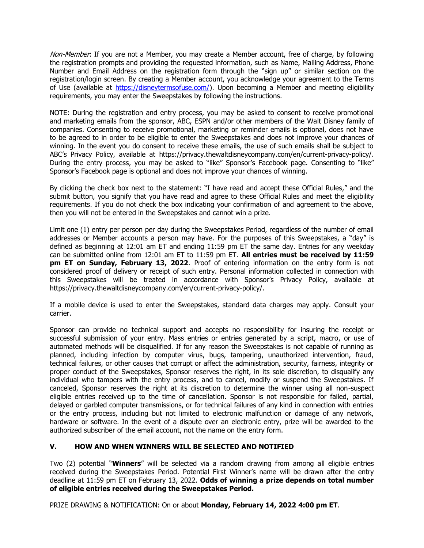Non-Member: If you are not a Member, you may create a Member account, free of charge, by following the registration prompts and providing the requested information, such as Name, Mailing Address, Phone Number and Email Address on the registration form through the "sign up" or similar section on the registration/login screen. By creating a Member account, you acknowledge your agreement to the Terms of Use (available at [https://disneytermsofuse.com/\)](https://disneytermsofuse.com/). Upon becoming a Member and meeting eligibility requirements, you may enter the Sweepstakes by following the instructions.

NOTE: During the registration and entry process, you may be asked to consent to receive promotional and marketing emails from the sponsor, ABC, ESPN and/or other members of the Walt Disney family of companies. Consenting to receive promotional, marketing or reminder emails is optional, does not have to be agreed to in order to be eligible to enter the Sweepstakes and does not improve your chances of winning. In the event you do consent to receive these emails, the use of such emails shall be subject to ABC's Privacy Policy, available at https://privacy.thewaltdisneycompany.com/en/current-privacy-policy/. During the entry process, you may be asked to "like" Sponsor's Facebook page. Consenting to "like" Sponsor's Facebook page is optional and does not improve your chances of winning.

By clicking the check box next to the statement: "I have read and accept these Official Rules," and the submit button, you signify that you have read and agree to these Official Rules and meet the eligibility requirements. If you do not check the box indicating your confirmation of and agreement to the above, then you will not be entered in the Sweepstakes and cannot win a prize.

Limit one (1) entry per person per day during the Sweepstakes Period, regardless of the number of email addresses or Member accounts a person may have. For the purposes of this Sweepstakes, a "day" is defined as beginning at 12:01 am ET and ending 11:59 pm ET the same day. Entries for any weekday can be submitted online from 12:01 am ET to 11:59 pm ET. **All entries must be received by 11:59 pm ET on Sunday, February 13, 2022**. Proof of entering information on the entry form is not considered proof of delivery or receipt of such entry. Personal information collected in connection with this Sweepstakes will be treated in accordance with Sponsor's Privacy Policy, available at https://privacy.thewaltdisneycompany.com/en/current-privacy-policy/.

If a mobile device is used to enter the Sweepstakes, standard data charges may apply. Consult your carrier.

Sponsor can provide no technical support and accepts no responsibility for insuring the receipt or successful submission of your entry. Mass entries or entries generated by a script, macro, or use of automated methods will be disqualified. If for any reason the Sweepstakes is not capable of running as planned, including infection by computer virus, bugs, tampering, unauthorized intervention, fraud, technical failures, or other causes that corrupt or affect the administration, security, fairness, integrity or proper conduct of the Sweepstakes, Sponsor reserves the right, in its sole discretion, to disqualify any individual who tampers with the entry process, and to cancel, modify or suspend the Sweepstakes. If canceled, Sponsor reserves the right at its discretion to determine the winner using all non-suspect eligible entries received up to the time of cancellation. Sponsor is not responsible for failed, partial, delayed or garbled computer transmissions, or for technical failures of any kind in connection with entries or the entry process, including but not limited to electronic malfunction or damage of any network, hardware or software. In the event of a dispute over an electronic entry, prize will be awarded to the authorized subscriber of the email account, not the name on the entry form.

## **V. HOW AND WHEN WINNERS WILL BE SELECTED AND NOTIFIED**

Two (2) potential "**Winners**" will be selected via a random drawing from among all eligible entries received during the Sweepstakes Period. Potential First Winner's name will be drawn after the entry deadline at 11:59 pm ET on February 13, 2022. **Odds of winning a prize depends on total number of eligible entries received during the Sweepstakes Period.** 

PRIZE DRAWING & NOTIFICATION: On or about **Monday, February 14, 2022 4:00 pm ET**.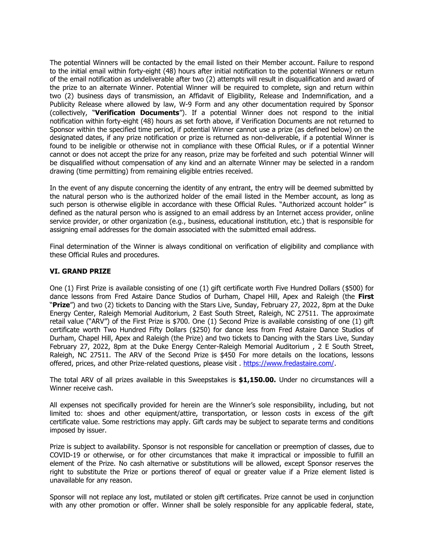The potential Winners will be contacted by the email listed on their Member account. Failure to respond to the initial email within forty-eight (48) hours after initial notification to the potential Winners or return of the email notification as undeliverable after two (2) attempts will result in disqualification and award of the prize to an alternate Winner. Potential Winner will be required to complete, sign and return within two (2) business days of transmission, an Affidavit of Eligibility, Release and Indemnification, and a Publicity Release where allowed by law, W-9 Form and any other documentation required by Sponsor (collectively, "**Verification Documents**"). If a potential Winner does not respond to the initial notification within forty-eight (48) hours as set forth above, if Verification Documents are not returned to Sponsor within the specified time period, if potential Winner cannot use a prize (as defined below) on the designated dates, if any prize notification or prize is returned as non-deliverable, if a potential Winner is found to be ineligible or otherwise not in compliance with these Official Rules, or if a potential Winner cannot or does not accept the prize for any reason, prize may be forfeited and such potential Winner will be disqualified without compensation of any kind and an alternate Winner may be selected in a random drawing (time permitting) from remaining eligible entries received.

In the event of any dispute concerning the identity of any entrant, the entry will be deemed submitted by the natural person who is the authorized holder of the email listed in the Member account, as long as such person is otherwise eligible in accordance with these Official Rules. "Authorized account holder" is defined as the natural person who is assigned to an email address by an Internet access provider, online service provider, or other organization (e.g., business, educational institution, etc.) that is responsible for assigning email addresses for the domain associated with the submitted email address.

Final determination of the Winner is always conditional on verification of eligibility and compliance with these Official Rules and procedures.

#### **VI. GRAND PRIZE**

One (1) First Prize is available consisting of one (1) gift certificate worth Five Hundred Dollars (\$500) for dance lessons from Fred Astaire Dance Studios of Durham, Chapel Hill, Apex and Raleigh (the **First** "**Prize**") and two (2) tickets to Dancing with the Stars Live, Sunday, February 27, 2022, 8pm at the Duke Energy Center, Raleigh Memorial Auditorium, 2 East South Street, Raleigh, NC 27511. The approximate retail value ("ARV") of the First Prize is \$700. One (1) Second Prize is available consisting of one (1) gift certificate worth Two Hundred Fifty Dollars (\$250) for dance less from Fred Astaire Dance Studios of Durham, Chapel Hill, Apex and Raleigh (the Prize) and two tickets to Dancing with the Stars Live, Sunday February 27, 2022, 8pm at the Duke Energy Center-Raleigh Memorial Auditorium , 2 E South Street, Raleigh, NC 27511. The ARV of the Second Prize is \$450 For more details on the locations, lessons offered, prices, and other Prize-related questions, please visit . [https://www.fredastaire.com/.](https://www.fredastaire.com/)

The total ARV of all prizes available in this Sweepstakes is **\$1,150.00.** Under no circumstances will a Winner receive cash.

All expenses not specifically provided for herein are the Winner's sole responsibility, including, but not limited to: shoes and other equipment/attire, transportation, or lesson costs in excess of the gift certificate value. Some restrictions may apply. Gift cards may be subject to separate terms and conditions imposed by issuer.

Prize is subject to availability. Sponsor is not responsible for cancellation or preemption of classes, due to COVID-19 or otherwise, or for other circumstances that make it impractical or impossible to fulfill an element of the Prize. No cash alternative or substitutions will be allowed, except Sponsor reserves the right to substitute the Prize or portions thereof of equal or greater value if a Prize element listed is unavailable for any reason.

Sponsor will not replace any lost, mutilated or stolen gift certificates. Prize cannot be used in conjunction with any other promotion or offer. Winner shall be solely responsible for any applicable federal, state,